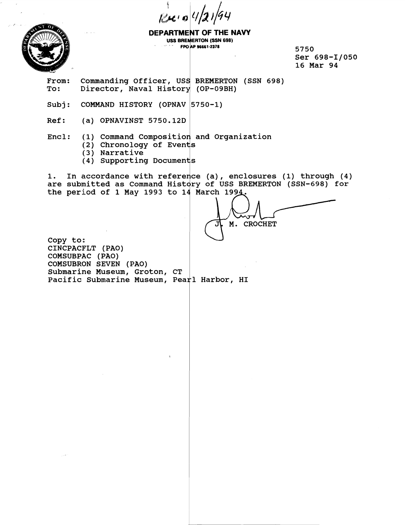$Re$  o  $4/2$ 



**DEPARTMENT OF THE NAVY USS BREMERTON (SSN 698)**<br>
FPO AP 96661-2378<br>
PO AP 96661-2378

**5750 Ser 698-11050 16 Mar 94** 

From: Commanding Officer, USS BREMERTON (SSN 698)<br>To: Director, Naval History (OP-09BH) Director, Naval History (OP-09BH)

Subj: **COMMAND HISTORY** (OPNAV 5750-1)

**Ref:** (a) OPNAVINST 5750.12D

Encl: (1) Command Composition and Organization

- **(2) Chronology of Even**
- **(3) Narrative**
- **(4) Supporting Documen**

1. In accordance with reference (a), enclosures (1) through (4) are submitted as Command History of USS BREMERTON (SSN-698) for the period of 1 May 1993 to 14 March 199<u>4</u>.

M. CROCHET

**Copy to:: CINCPACFLT (PAO) COMSUBPAC (PAO) COMSUBRON SEVEN** ( **PAO) Submarine Museum, Groton, CT**  Pacific Submarine Museum, Pearl Harbor, HI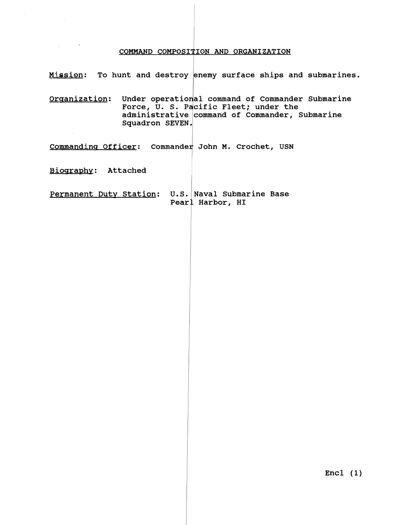## COMMAND COMPOSITION AND ORGANIZATION

**Mission: To hunt and destroy enemy surface ships and submarines.** 

**Organization:** Under operational command of Commander Submarine Force, U. S. Pacific Fleet; under the administrative **command of Commander**, Submarine **Squadron** 

**<u>Commanding Officer</u>: Commander John M. Crochet, USN** 

**Biography:** Attached

Permanent Duty Station: U.S. Naval Submarine Base **Pearl Harbor, HI** 

**Encl (1)**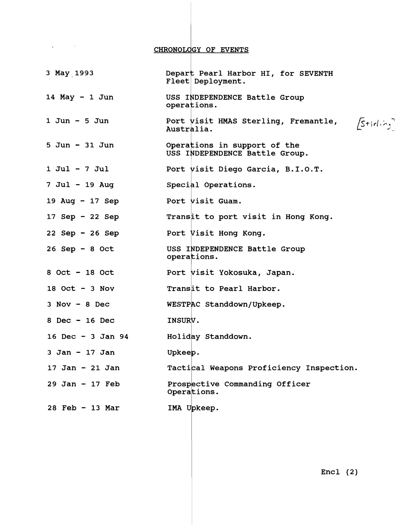$\mathbf{L}$  $\sim 10^{-1}$ CHRONOLOGY OF EVENTS **3** May **19'93**  Depart Pearl Harbor HI, for SEVENTH Fleet Deployment. USS INDEPENDENCE Battle Group<br>operations. **<sup>14</sup>**May - **1** Jun  $[5+id.5]$ **<sup>1</sup>**Jun - **5** Jun Port visit HMAS Sterling, Fremantle, Australia. 5 Jun - **31** Jun Operations in support of the USS INDEPENDENCE Battle Group. Port visit Diego Garcia, B.I.O.T.<br>Special Operations.<br>Port visit Guam. **<sup>1</sup>**Jul - **7** Jul 7 Jul - **19** Aug **<sup>19</sup>**Aug - **17** Sep Port visit Guam. **<sup>17</sup>**Sep - **22** Sep Transit to port visit in Hong Kong. **<sup>22</sup>**Sep - **26** Sep Port Visit Hong Kong. **<sup>26</sup>**Sep - **8** Oct USS INDEPENDENCE Battle Group operations. **<sup>8</sup>**Oct - **18** Oct Port visit Yokosuka, Japan. **<sup>18</sup>**OC~ - **3** NOV Transit to Pearl Harbor. **<sup>3</sup>**Nov - 8 Dec WESTPAC Standdown/Upkeep. **<sup>8</sup>**Dec - **16** Dec INSURV. **<sup>16</sup>**Dec - **3** Jan **<sup>94</sup>** Holiday Standdown. **<sup>3</sup>**Jan - **17** Jan Upkeep. **<sup>17</sup>**Jan - **21** Jan Tactical Weapons Proficiency Inspection. **<sup>29</sup>**Jan - **17** Feb Prospective Commanding Officer Operations.  $\vert$ **<sup>28</sup>**Feb - **13** Mar

Encl **(2)**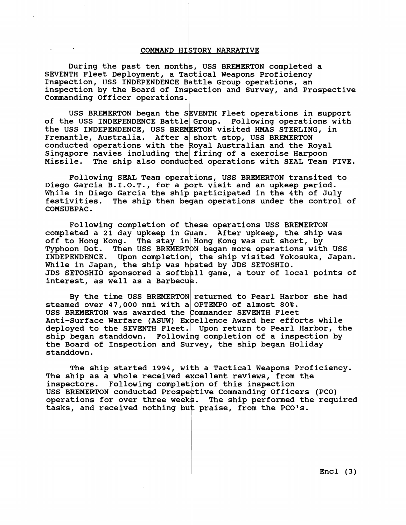## **COMMAND HIETORY NARRATIVE**

**During the past ten month** , **USS BREMERTON completed a**  SEVENTH Fleet Deployment, a Ta<mark>ctical Weapons Proficiency</mark> Inspection, USS INDEPENDENCE Battle Group operations, an inspection by the Board of Inspection and Survey, and Prospective **Commanding Officer operations.**  s, US;<br>ctica<br>attle<br>pecti

USS BREMERTON began the SEVENTH Fleet operations in support of the USS INDEPENDENCE Battle Group. Following operations with the USS INDEPENDENCE, USS BREMERTON visited HMAS STERLING, in Fremantle, Australia. After a short stop, USS BREMERTON **conducted operations with the Australian and the Royal**  Singapore navies including the firing of a exercise Harpoon Missile. The ship also conducted operations with SEAL Team FIVE.

Following SEAL Team operations, USS BREMERTON transited to Diego Garcia B.I.O.T., for a port visit and an upkeep period. **While in Diego Garcia the ship participated in the 4th of July**  festivities. The ship then began operations under the control of  $\overline{\phantom{a}}$ FOILOWING SEAL Team operations<br>Diego Garcia B.I.O.T., for a port v.<br>While in Diego Garcia the ship part<br>festivities. The ship then began o<br>COMSUBPAC.<br>Following completion of these

Following completion of these operations USS BREMERTON completed a 21 day upkeep in Guam. After upkeep, the ship was off to Hong Kong. The stay in Hong Kong was cut short, by Typhoon Dot. Then USS BREMERTON began more operations with USS INDEPENDENCE. Upon completion, the ship visited Yokosuka, Japan. While in Japan, the ship was hosted by JDS SETOSHIO. JDS SETOSHIO sponsored a softball game, a tour of local points of **interest, as** 

**By the time USS BREMERTON returned to Pearl Harbor she had**  steamed over 47,000 nmi with a OPTEMPO of almost 80%. USS BREMERTON was awarded the Commander SEVENTH Fleet **Anti-Surface Warfare (ASUW) Ex ellence Award her efforts while deployed to the SEVENTH Fleet. Upon return to Pearl Harbor, the**  ship began standdown. Following completion of a inspection by the Board of Inspection and Survey, the ship began Holiday **standdown.** 

The ship started 1994, with a Tactical Weapons Proficiency. The ship as a whole received excellent reviews, from the inspectors. Following completion of this inspection USS BREMERTON conducted Prospective Commanding Officers (PCO) USS BREMERTON conducted Prospective Commanding Officers (PCO)<br>operations for over three weeks. The ship performed the required inspectors. Following completion of this inspection<br>USS BREMERTON conducted Prospective Commanding Officers (<br>operations for over three weeks. The ship performed the<br>tasks, and received nothing but praise, from the PCO's.

**Encl (3)**